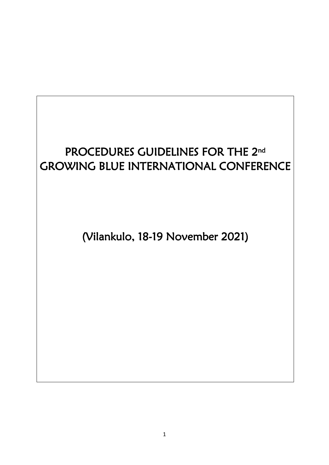# PROCEDURES GUIDELINES FOR THE 2<sup>nd</sup> GROWING BLUE INTERNATIONAL CONFERENCE

(Vilankulo, 18-19 November 2021)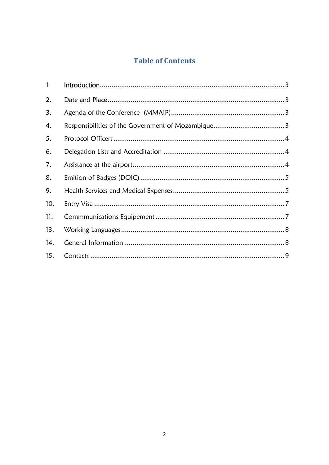## **Table of Contents**

| $\mathbf{1}$ . |  |
|----------------|--|
| 2.             |  |
| 3.             |  |
| 4.             |  |
| 5.             |  |
| 6.             |  |
| 7.             |  |
| 8.             |  |
| 9.             |  |
| 10.            |  |
| 11.            |  |
| 13.            |  |
| 14.            |  |
| 15.            |  |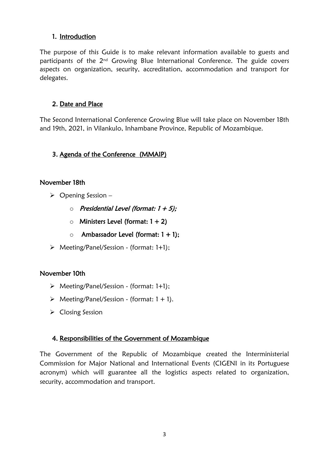#### <span id="page-2-0"></span>1. Introduction

The purpose of this Guide is to make relevant information available to guests and participants of the 2<sup>nd</sup> Growing Blue International Conference. The guide covers aspects on organization, security, accreditation, accommodation and transport for delegates.

#### <span id="page-2-1"></span>2. Date and Place

The Second International Conference Growing Blue will take place on November 18th and 19th, 2021, in Vilankulo, Inhambane Province, Republic of Mozambique.

### <span id="page-2-2"></span>3. Agenda of the Conference (MMAIP)

#### November 18th

- $\triangleright$  Opening Session
	- $\circ$  Presidential Level (format: 1 + 5);
	- $\circ$  Ministers Level (format: 1 + 2)
	- $\circ$  Ambassador Level (format: 1 + 1);
- Meeting/Panel/Session (format: 1+1);

#### November 10th

- Meeting/Panel/Session (format: 1+1);
- $\triangleright$  Meeting/Panel/Session (format: 1 + 1).
- **►** Closing Session

#### <span id="page-2-3"></span>4. Responsibilities of the Government of Mozambique

The Government of the Republic of Mozambique created the Interministerial Commission for Major National and International Events (CIGENI in its Portuguese acronym) which will guarantee all the logistics aspects related to organization, security, accommodation and transport.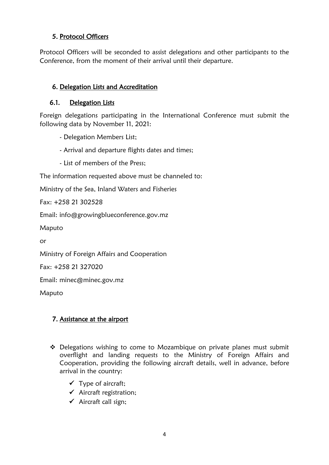### <span id="page-3-0"></span>5. Protocol Officers

Protocol Officers will be seconded to assist delegations and other participants to the Conference, from the moment of their arrival until their departure.

#### <span id="page-3-1"></span>6. Delegation Lists and Accreditation

#### 6.1. Delegation Lists

Foreign delegations participating in the International Conference must submit the following data by November 11, 2021:

- Delegation Members List;

- Arrival and departure flights dates and times;
- List of members of the Press;

The information requested above must be channeled to:

Ministry of the Sea, Inland Waters and Fisheries

Fax: +258 21 302528

Email: info@growingblueconference.gov.mz

Maputo

or

Ministry of Foreign Affairs and Cooperation

Fax: +258 21 327020

Email: minec@minec.gov.mz

Maputo

### <span id="page-3-2"></span>7. Assistance at the airport

- $\triangle$  Delegations wishing to come to Mozambique on private planes must submit overflight and landing requests to the Ministry of Foreign Affairs and Cooperation, providing the following aircraft details, well in advance, before arrival in the country:
	- $\checkmark$  Type of aircraft:
	- $\checkmark$  Aircraft registration;
	- $\checkmark$  Aircraft call sign;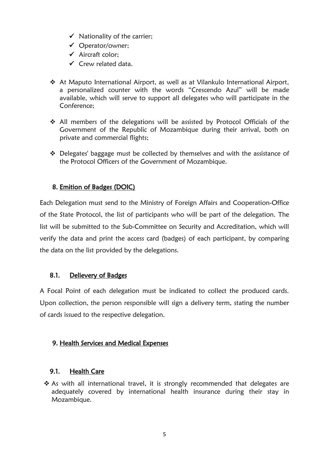- $\checkmark$  Nationality of the carrier:
- Operator/owner;
- $\checkmark$  Aircraft color:
- $\checkmark$  Crew related data.
- At Maputo International Airport, as well as at Vilankulo International Airport, a personalized counter with the words "Crescendo Azul" will be made available, which will serve to support all delegates who will participate in the Conference;
- $\div$  All members of the delegations will be assisted by Protocol Officials of the Government of the Republic of Mozambique during their arrival, both on private and commercial flights;
- Delegates' baggage must be collected by themselves and with the assistance of the Protocol Officers of the Government of Mozambique.

### <span id="page-4-0"></span>8. Emition of Badges (DOIC)

Each Delegation must send to the Ministry of Foreign Affairs and Cooperation-Office of the State Protocol, the list of participants who will be part of the delegation. The list will be submitted to the Sub-Committee on Security and Accreditation, which will verify the data and print the access card (badges) of each participant, by comparing the data on the list provided by the delegations.

#### 8.1. Delievery of Badges

A Focal Point of each delegation must be indicated to collect the produced cards. Upon collection, the person responsible will sign a delivery term, stating the number of cards issued to the respective delegation.

#### <span id="page-4-1"></span>9. Health Services and Medical Expenses

#### 9.1. Health Care

\* As with all international travel, it is strongly recommended that delegates are adequately covered by international health insurance during their stay in Mozambique.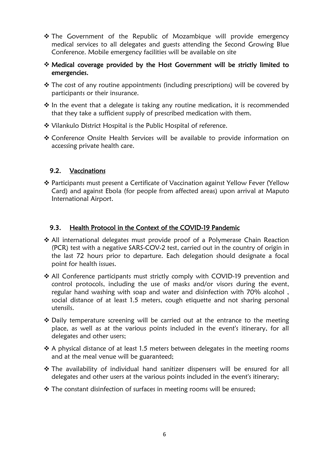- \* The Government of the Republic of Mozambique will provide emergency medical services to all delegates and guests attending the Second Growing Blue Conference. Mobile emergency facilities will be available on site
- Medical coverage provided by the Host Government will be strictly limited to emergencies.
- $\cdot$  The cost of any routine appointments (including prescriptions) will be covered by participants or their insurance.
- $\cdot$  In the event that a delegate is taking any routine medication, it is recommended that they take a sufficient supply of prescribed medication with them.
- Vilankulo District Hospital is the Public Hospital of reference.
- Conference Onsite Health Services will be available to provide information on accessing private health care.

#### 9.2. Vaccinations

 Participants must present a Certificate of Vaccination against Yellow Fever (Yellow Card) and against Ebola (for people from affected areas) upon arrival at Maputo International Airport.

#### 9.3. Health Protocol in the Context of the COVID-19 Pandemic

- All international delegates must provide proof of a Polymerase Chain Reaction (PCR) test with a negative SARS-COV-2 test, carried out in the country of origin in the last 72 hours prior to departure. Each delegation should designate a focal point for health issues.
- All Conference participants must strictly comply with COVID-19 prevention and control protocols, including the use of masks and/or visors during the event, regular hand washing with soap and water and disinfection with 70% alcohol , social distance of at least 1.5 meters, cough etiquette and not sharing personal utensils.
- $\cdot$  Daily temperature screening will be carried out at the entrance to the meeting place, as well as at the various points included in the event's itinerary, for all delegates and other users;
- $\cdot$  A physical distance of at least 1.5 meters between delegates in the meeting rooms and at the meal venue will be guaranteed;
- The availability of individual hand sanitizer dispensers will be ensured for all delegates and other users at the various points included in the event's itinerary;
- \* The constant disinfection of surfaces in meeting rooms will be ensured;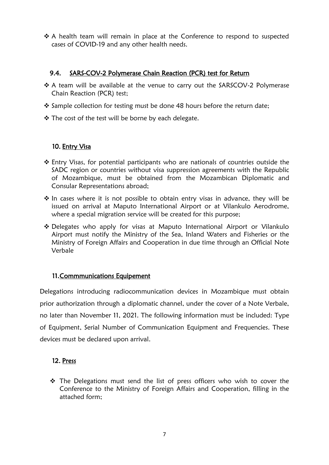$\triangle$  A health team will remain in place at the Conference to respond to suspected cases of COVID-19 and any other health needs.

#### 9.4. SARS-COV-2 Polymerase Chain Reaction (PCR) test for Return

- ❖ A team will be available at the venue to carry out the SARSCOV-2 Polymerase Chain Reaction (PCR) test;
- $\cdot$  Sample collection for testing must be done 48 hours before the return date;
- ❖ The cost of the test will be borne by each delegate.

### <span id="page-6-0"></span>10. Entry Visa

- Entry Visas, for potential participants who are nationals of countries outside the SADC region or countries without visa suppression agreements with the Republic of Mozambique, must be obtained from the Mozambican Diplomatic and Consular Representations abroad;
- $\cdot$  In cases where it is not possible to obtain entry visas in advance, they will be issued on arrival at Maputo International Airport or at Vilankulo Aerodrome, where a special migration service will be created for this purpose;
- Delegates who apply for visas at Maputo International Airport or Vilankulo Airport must notify the Ministry of the Sea, Inland Waters and Fisheries or the Ministry of Foreign Affairs and Cooperation in due time through an Official Note Verbale

#### <span id="page-6-1"></span>11.Commmunications Equipement

Delegations introducing radiocommunication devices in Mozambique must obtain prior authorization through a diplomatic channel, under the cover of a Note Verbale, no later than November 11, 2021. The following information must be included: Type of Equipment, Serial Number of Communication Equipment and Frequencies. These devices must be declared upon arrival.

#### 12. Press

\* The Delegations must send the list of press officers who wish to cover the Conference to the Ministry of Foreign Affairs and Cooperation, filling in the attached form;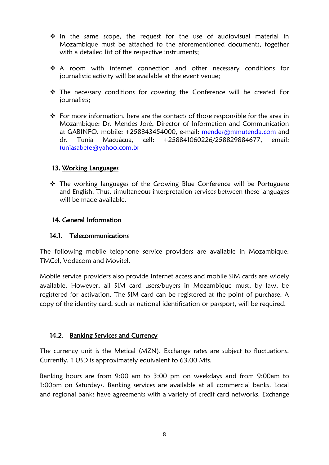- $\cdot$  In the same scope, the request for the use of audiovisual material in Mozambique must be attached to the aforementioned documents, together with a detailed list of the respective instruments;
- ◆ A room with internet connection and other necessary conditions for journalistic activity will be available at the event venue;
- $\triangle$  The necessary conditions for covering the Conference will be created For journalists;
- $\div$  For more information, here are the contacts of those responsible for the area in Mozambique: Dr. Mendes José, Director of Information and Communication at GABINFO, mobile: +258843454000, e-mail: [mendes@mmutenda.com](mailto:mendes@mmutenda.com) and dr. Tunia Macuácua, cell: +258841060226/258829884677, email: [tuniasabete@yahoo.com.br](mailto:tuniasabete@yahoo.com.br)

#### <span id="page-7-0"></span>13. Working Languages

 $\triangle$  The working languages of the Growing Blue Conference will be Portuguese and English. Thus, simultaneous interpretation services between these languages will be made available.

#### <span id="page-7-1"></span>14. General Information

#### 14.1. Telecommunications

The following mobile telephone service providers are available in Mozambique: TMCel, Vodacom and Movitel.

Mobile service providers also provide Internet access and mobile SIM cards are widely available. However, all SIM card users/buyers in Mozambique must, by law, be registered for activation. The SIM card can be registered at the point of purchase. A copy of the identity card, such as national identification or passport, will be required.

#### 14.2. Banking Services and Currency

The currency unit is the Metical (MZN). Exchange rates are subject to fluctuations. Currently, 1 USD is approximately equivalent to 63.00 Mts.

Banking hours are from 9:00 am to 3:00 pm on weekdays and from 9:00am to 1:00pm on Saturdays. Banking services are available at all commercial banks. Local and regional banks have agreements with a variety of credit card networks. Exchange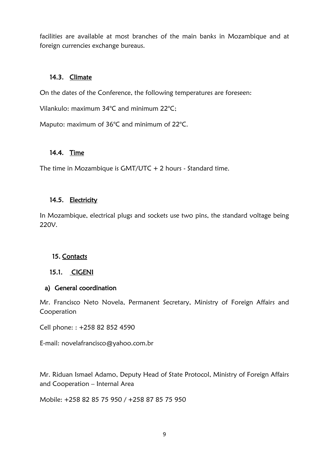facilities are available at most branches of the main banks in Mozambique and at foreign currencies exchange bureaus.

#### 14.3. Climate

On the dates of the Conference, the following temperatures are foreseen:

Vilankulo: maximum 34°C and minimum 22°C;

Maputo: maximum of 36°C and minimum of 22°C.

#### 14.4. Time

The time in Mozambique is GMT/UTC + 2 hours - Standard time.

#### 14.5. Electricity

In Mozambique, electrical plugs and sockets use two pins, the standard voltage being 220V.

#### <span id="page-8-0"></span>15. Contacts

#### 15.1. CIGENI

#### a) General coordination

Mr. Francisco Neto Novela, Permanent Secretary, Ministry of Foreign Affairs and Cooperation

Cell phone: : +258 82 852 4590

E-mail: [novelafrancisco@yahoo.com.br](mailto:novelafrancisco@yahoo.com.br)

Mr. Riduan Ismael Adamo, Deputy Head of State Protocol, Ministry of Foreign Affairs and Cooperation – Internal Area

Mobile: +258 82 85 75 950 / +258 87 85 75 950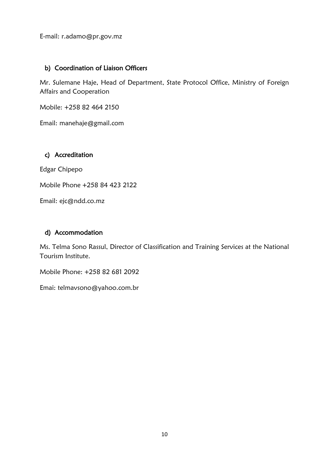E-mail: [r.adamo@pr.gov.mz](mailto:r.adamo@pr.gov.mz)

#### b) Coordination of Liaison Officers

Mr. Sulemane Haje, Head of Department, State Protocol Office, Ministry of Foreign Affairs and Cooperation

Mobile: +258 82 464 2150

Email: [manehaje@gmail.com](mailto:manehaje@gmail.com)

#### c) Accreditation

Edgar Chipepo

Mobile Phone +258 84 423 2122

Email: [ejc@ndd.co.mz](mailto:ejc@ndd.co.mz)

#### d) Accommodation

Ms. Telma Sono Rassul, Director of Classification and Training Services at the National Tourism Institute.

Mobile Phone: +258 82 681 2092

Emai: [telmavsono@yahoo.com.br](mailto:telmavsono@yahoo.com.br)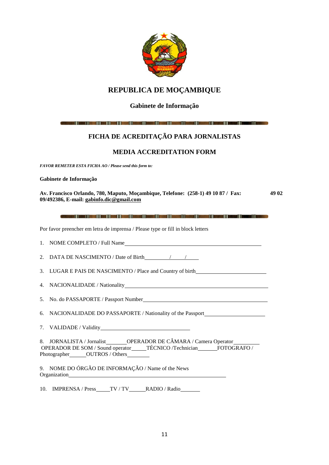

#### **REPUBLICA DE MOÇAMBIQUE**

#### **Gabinete de Informação**

(المحدد )) المحدد (1) المحد (1) المحدد (1) المحدد (1) المحدد (1) المحد (1) المحدد (1) المحدد (1) المحدد ال

#### **FICHA DE ACREDITAÇÃO PARA JORNALISTAS**

#### **MEDIA ACCREDITATION FORM**

*FAVOR REMETER ESTA FICHA AO / Please send this form to:* 

#### **Gabinete de Informação**

**Av. Francisco Orlando, 780, Maputo, Moçambique, Telefone: (258-1) 49 10 87 / Fax: 49 02 09/492386, E-mail: [gabinfo.dic@gmail.com](mailto:gabinfo.dic@gmail.com)**

Por favor preencher em letra de imprensa / Please type or fill in block letters

| 1. NOME COMPLETO / Full Name                                                                                                                                  |
|---------------------------------------------------------------------------------------------------------------------------------------------------------------|
| 2. DATA DE NASCIMENTO / Date of Birth / / /                                                                                                                   |
| 3. LUGAR E PAIS DE NASCIMENTO / Place and Country of birth______________________                                                                              |
|                                                                                                                                                               |
|                                                                                                                                                               |
| 6. NACIONALIDADE DO PASSAPORTE / Nationality of the Passport____________________                                                                              |
|                                                                                                                                                               |
| 8. JORNALISTA / Jornalist________OPERADOR DE CÂMARA / Camera Operator___________<br>OPERADOR DE SOM / Sound operator_____TÉCNICO /Technician______FOTOGRAFO / |
| 9. NOME DO ÓRGÃO DE INFORMAÇÃO / Name of the News                                                                                                             |
| 10. IMPRENSA / Press____TV / TV_____RADIO / Radio______                                                                                                       |